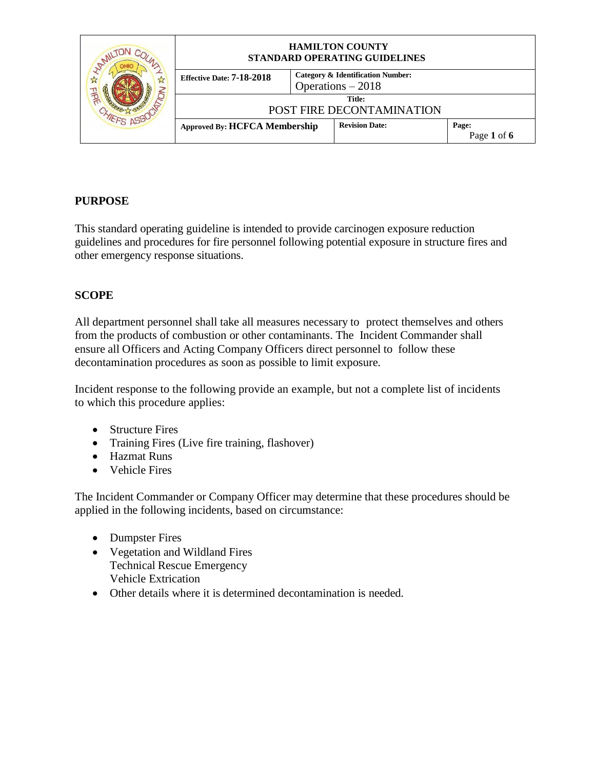|   | <b>HAMILTON COUNTY</b><br>STANDARD OPERATING GUIDELINES |                                                                    |                                     |                      |
|---|---------------------------------------------------------|--------------------------------------------------------------------|-------------------------------------|----------------------|
| N | Effective Date: 7-18-2018                               | <b>Category &amp; Identification Number:</b><br>Operations $-2018$ |                                     |                      |
|   |                                                         |                                                                    | Title:<br>POST FIRE DECONTAMINATION |                      |
|   | <b>Approved By: HCFCA Membership</b>                    |                                                                    | <b>Revision Date:</b>               | Page:<br>Page 1 of 6 |

## **PURPOSE**

This standard operating guideline is intended to provide carcinogen exposure reduction guidelines and procedures for fire personnel following potential exposure in structure fires and other emergency response situations.

#### **SCOPE**

All department personnel shall take all measures necessary to protect themselves and others from the products of combustion or other contaminants. The Incident Commander shall ensure all Officers and Acting Company Officers direct personnel to follow these decontamination procedures as soon as possible to limit exposure.

Incident response to the following provide an example, but not a complete list of incidents to which this procedure applies:

- Structure Fires
- Training Fires (Live fire training, flashover)
- Hazmat Runs
- Vehicle Fires

The Incident Commander or Company Officer may determine that these procedures should be applied in the following incidents, based on circumstance:

- Dumpster Fires
- Vegetation and Wildland Fires Technical Rescue Emergency Vehicle Extrication
- Other details where it is determined decontamination is needed.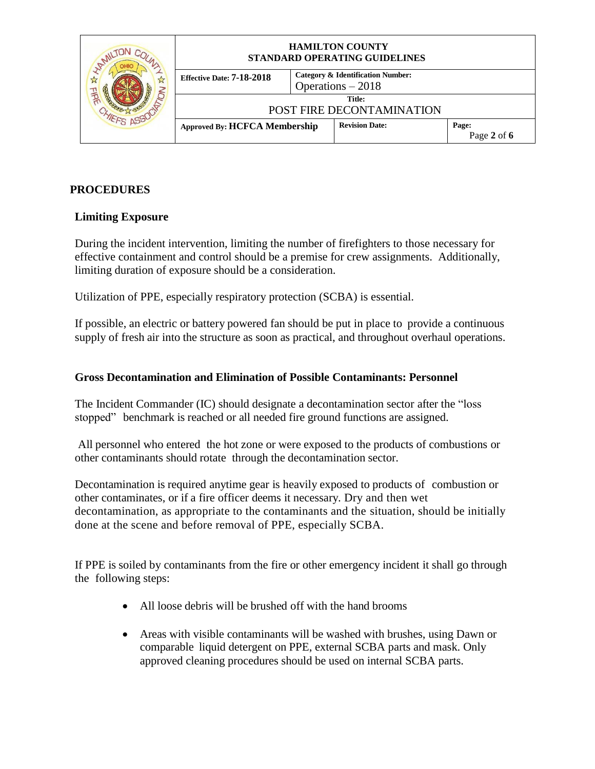|   | <b>HAMILTON COUNTY</b><br>STANDARD OPERATING GUIDELINES |                                                                    |                                     |                      |
|---|---------------------------------------------------------|--------------------------------------------------------------------|-------------------------------------|----------------------|
| A | Effective Date: 7-18-2018                               | <b>Category &amp; Identification Number:</b><br>Operations $-2018$ |                                     |                      |
|   |                                                         |                                                                    | Title:<br>POST FIRE DECONTAMINATION |                      |
|   | <b>Approved By: HCFCA Membership</b>                    |                                                                    | <b>Revision Date:</b>               | Page:<br>Page 2 of 6 |

### **PROCEDURES**

#### **Limiting Exposure**

During the incident intervention, limiting the number of firefighters to those necessary for effective containment and control should be a premise for crew assignments. Additionally, limiting duration of exposure should be a consideration.

Utilization of PPE, especially respiratory protection (SCBA) is essential.

If possible, an electric or battery powered fan should be put in place to provide a continuous supply of fresh air into the structure as soon as practical, and throughout overhaul operations.

#### **Gross Decontamination and Elimination of Possible Contaminants: Personnel**

The Incident Commander (IC) should designate a decontamination sector after the "loss stopped" benchmark is reached or all needed fire ground functions are assigned.

All personnel who entered the hot zone or were exposed to the products of combustions or other contaminants should rotate through the decontamination sector.

Decontamination is required anytime gear is heavily exposed to products of combustion or other contaminates, or if a fire officer deems it necessary. Dry and then wet decontamination, as appropriate to the contaminants and the situation, should be initially done at the scene and before removal of PPE, especially SCBA.

If PPE is soiled by contaminants from the fire or other emergency incident it shall go through the following steps:

- All loose debris will be brushed off with the hand brooms
- Areas with visible contaminants will be washed with brushes, using Dawn or comparable liquid detergent on PPE, external SCBA parts and mask. Only approved cleaning procedures should be used on internal SCBA parts.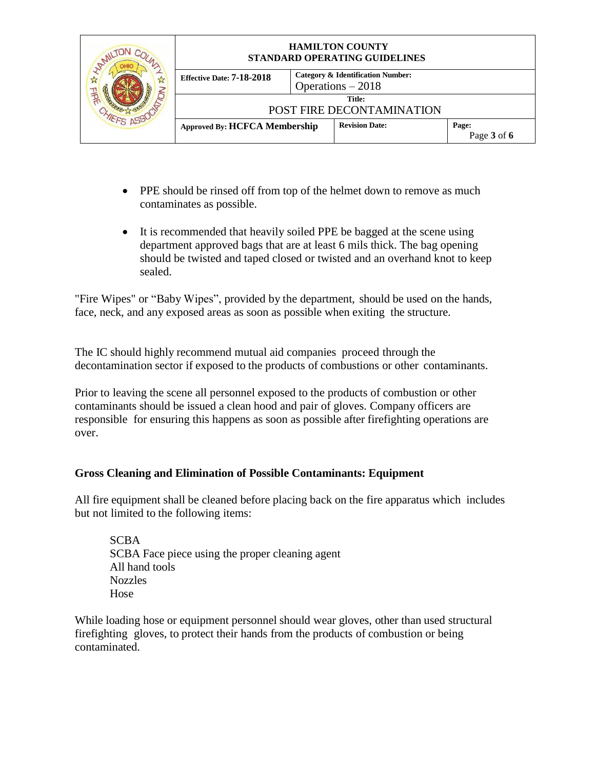|   | <b>HAMILTON COUNTY</b><br>STANDARD OPERATING GUIDELINES |                                                         |                                     |                      |
|---|---------------------------------------------------------|---------------------------------------------------------|-------------------------------------|----------------------|
| N | Effective Date: 7-18-2018                               | Category & Identification Number:<br>Operations $-2018$ |                                     |                      |
|   |                                                         |                                                         | Title:<br>POST FIRE DECONTAMINATION |                      |
|   | <b>Approved By: HCFCA Membership</b>                    |                                                         | <b>Revision Date:</b>               | Page:<br>Page 3 of 6 |

- PPE should be rinsed off from top of the helmet down to remove as much contaminates as possible.
- It is recommended that heavily soiled PPE be bagged at the scene using department approved bags that are at least 6 mils thick. The bag opening should be twisted and taped closed or twisted and an overhand knot to keep sealed.

"Fire Wipes" or "Baby Wipes", provided by the department, should be used on the hands, face, neck, and any exposed areas as soon as possible when exiting the structure.

The IC should highly recommend mutual aid companies proceed through the decontamination sector if exposed to the products of combustions or other contaminants.

Prior to leaving the scene all personnel exposed to the products of combustion or other contaminants should be issued a clean hood and pair of gloves. Company officers are responsible for ensuring this happens as soon as possible after firefighting operations are over.

#### **Gross Cleaning and Elimination of Possible Contaminants: Equipment**

All fire equipment shall be cleaned before placing back on the fire apparatus which includes but not limited to the following items:

SCBA SCBA Face piece using the proper cleaning agent All hand tools Nozzles Hose

While loading hose or equipment personnel should wear gloves, other than used structural firefighting gloves, to protect their hands from the products of combustion or being contaminated.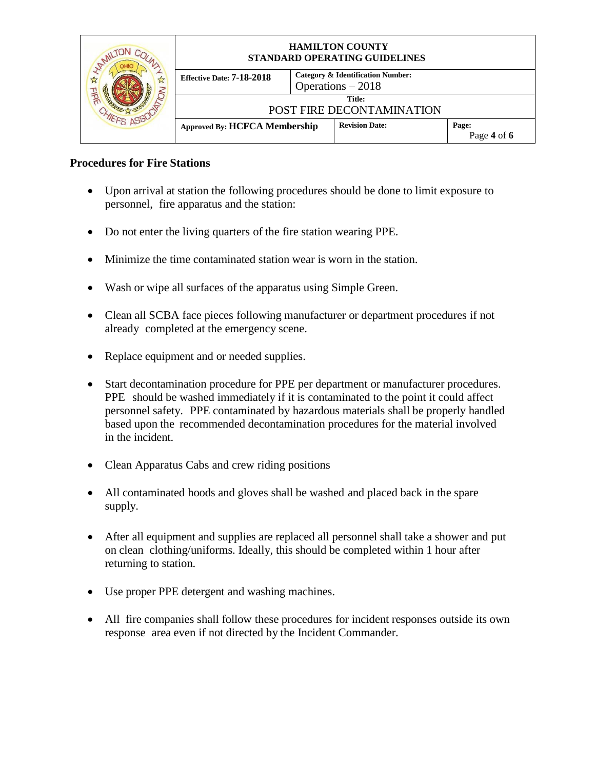|   | <b>HAMILTON COUNTY</b><br>STANDARD OPERATING GUIDELINES |                                                                    |                                     |                      |
|---|---------------------------------------------------------|--------------------------------------------------------------------|-------------------------------------|----------------------|
| N | Effective Date: 7-18-2018                               | <b>Category &amp; Identification Number:</b><br>Operations $-2018$ |                                     |                      |
|   |                                                         |                                                                    | Title:<br>POST FIRE DECONTAMINATION |                      |
|   | <b>Approved By: HCFCA Membership</b>                    |                                                                    | <b>Revision Date:</b>               | Page:<br>Page 4 of 6 |

## **Procedures for Fire Stations**

- Upon arrival at station the following procedures should be done to limit exposure to personnel, fire apparatus and the station:
- Do not enter the living quarters of the fire station wearing PPE.
- Minimize the time contaminated station wear is worn in the station.
- Wash or wipe all surfaces of the apparatus using Simple Green.
- Clean all SCBA face pieces following manufacturer or department procedures if not already completed at the emergency scene.
- Replace equipment and or needed supplies.
- Start decontamination procedure for PPE per department or manufacturer procedures. PPE should be washed immediately if it is contaminated to the point it could affect personnel safety. PPE contaminated by hazardous materials shall be properly handled based upon the recommended decontamination procedures for the material involved in the incident.
- Clean Apparatus Cabs and crew riding positions
- All contaminated hoods and gloves shall be washed and placed back in the spare supply.
- After all equipment and supplies are replaced all personnel shall take a shower and put on clean clothing/uniforms. Ideally, this should be completed within 1 hour after returning to station.
- Use proper PPE detergent and washing machines.
- All fire companies shall follow these procedures for incident responses outside its own response area even if not directed by the Incident Commander.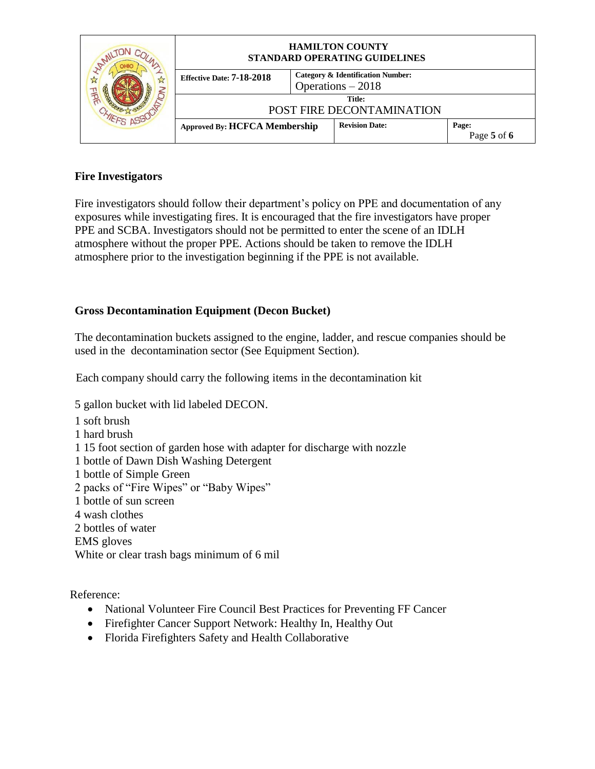|   | <b>HAMILTON COUNTY</b><br>STANDARD OPERATING GUIDELINES |                                                                    |                                     |                      |
|---|---------------------------------------------------------|--------------------------------------------------------------------|-------------------------------------|----------------------|
| A | <b>Effective Date: 7-18-2018</b>                        | <b>Category &amp; Identification Number:</b><br>Operations $-2018$ |                                     |                      |
|   |                                                         |                                                                    | Title:<br>POST FIRE DECONTAMINATION |                      |
|   | <b>Approved By: HCFCA Membership</b>                    |                                                                    | <b>Revision Date:</b>               | Page:<br>Page 5 of 6 |

### **Fire Investigators**

Fire investigators should follow their department's policy on PPE and documentation of any exposures while investigating fires. It is encouraged that the fire investigators have proper PPE and SCBA. Investigators should not be permitted to enter the scene of an IDLH atmosphere without the proper PPE. Actions should be taken to remove the IDLH atmosphere prior to the investigation beginning if the PPE is not available.

## **Gross Decontamination Equipment (Decon Bucket)**

The decontamination buckets assigned to the engine, ladder, and rescue companies should be used in the decontamination sector (See Equipment Section).

Each company should carry the following items in the decontamination kit

5 gallon bucket with lid labeled DECON.

1 soft brush 1 hard brush 1 15 foot section of garden hose with adapter for discharge with nozzle 1 bottle of Dawn Dish Washing Detergent 1 bottle of Simple Green 2 packs of "Fire Wipes" or "Baby Wipes" 1 bottle of sun screen 4 wash clothes 2 bottles of water EMS gloves White or clear trash bags minimum of 6 mil

Reference:

- National Volunteer Fire Council Best Practices for Preventing FF Cancer
- Firefighter Cancer Support Network: Healthy In, Healthy Out
- Florida Firefighters Safety and Health Collaborative